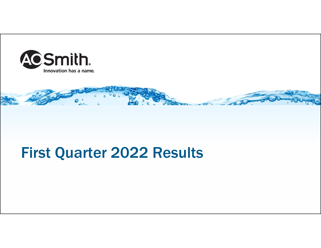



# First Quarter 2022 Results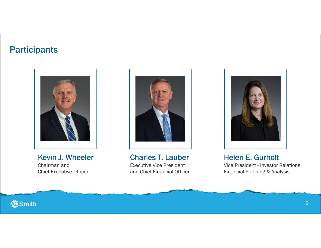# **Participants**



Kevin J. Wheeler Chairman and Chief Executive Officer



Charles T. Lauber Executive Vice President and Chief Financial Officer



Helen E. Gurholt Vice President - Investor Relations, Financial Planning & Analysis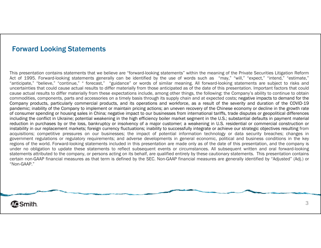### Forward Looking Statements

This presentation contains statements that we believe are "forward-looking statements" within the meaning of the Private Securities Litigation Reform Act of 1995. Forward-looking statements generally can be identified by the use of words such as "may," "will," "expect," "intend," "estimate," "anticipate," "believe," "continue," " forecast," "guidance" or words of similar meaning. All forward-looking statements are subject to risks and uncertainties that could cause actual results to differ materially from those anticipated as of the date of this presentation. Important factors that could cause actual results to differ materially from these expectations include, among other things, the following: the Company's ability to continue to obtain commodities, components, parts and accessories on <sup>a</sup> timely basis through its supply chain and at expected costs; negative impacts to demand for the Company products, particularly commercial products, and its operations and workforce, as <sup>a</sup> result of the severity and duration of the COVID-19 pandemic; inability of the Company to implement or maintain pricing actions; an uneven recovery of the Chinese economy or decline in the growth rate of consumer spending or housing sales in China; negative impact to our businesses from international tariffs, trade disputes or geopolitical differences including the conflict in Ukraine; potential weakening in the high efficiency boiler market segment in the U.S.; substantial defaults in payment material reduction in purchases by or the loss, bankruptcy or insolvency of <sup>a</sup> major customer; <sup>a</sup> weakening in U.S. residential or commercial construction or instability in our replacement markets; foreign currency fluctuations; inability to successfully integrate or achieve our strategic objectives resulting from acquisitions; competitive pressures on our businesses; the impact of potential information technology or data security breaches; changes in government regulations or regulatory requirements; and adverse developments in general economic, political and business conditions in the key regions of the world. Forward-looking statements included in this presentation are made only as of the date of this presentation, and the company is under no obligation to update these statements to reflect subsequent events or circumstances. All subsequent written and oral forward-looking statements attributed to the company, or persons acting on its behalf, are qualified entirely by these cautionary statements. This presentation contains certain non-GAAP financial measures as that term is defined by the SEC. Non-GAAP financial measures are generally identified by "Adjusted" (Adj.) or "Non-GAAP."

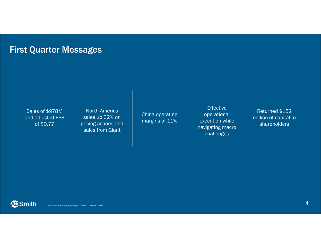# First Quarter Messages

Sales of \$978M and adjusted EPS of \$0.77

North America sales up 32% on pricing actions and sales from Giant

China operating margins of 11%

Effective operational execution while navigating macro challenges

Returned \$152 million of capital to shareholders

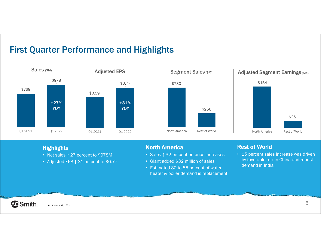### First Quarter Performance and Highlights







#### **Highlights**

- Net sales ↑ 27 percent to \$978M
- Adjusted EPS ↑ 31 percent to \$0.77

#### North America

- Sales ↑ 32 percent on price increases
- Giant added \$32 million of sales
- Estimated 80 to 85 percent of water heater & boiler demand is replacement

### Rest of World

• 15 percent sales increase was driven by favorable mix in China and robust demand in India

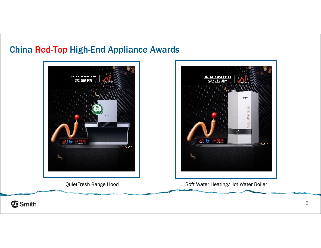# China Red-Top High-End Appliance Awards





**ACSmith.**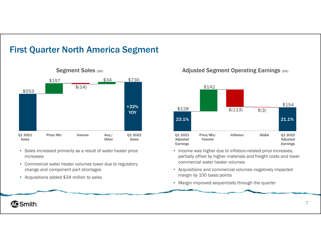# First Quarter North America Segment



- Sales increased primarily as a result of water heater price increases
- Commercial water heater volumes lower due to regulatory change and component part shortages
- Acquisitions added \$34 million to sales

#### Segment Sales (\$M) Segment Sales (\$M) Adjusted Segment Operating Earnings (\$M)



- Income was higher due to inflation-related price increases, partially offset by higher materials and freight costs and lower commercial water heater volumes
- Acquisitions and commercial volumes negatively impacted margin by 100 basis points
- Margin improved sequentially through the quarter

### **ACSmith.**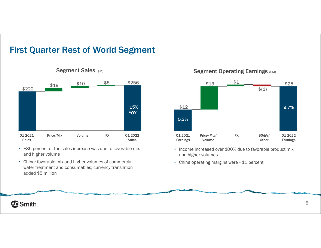# First Quarter Rest of World Segment



- ~85 percent of the sales increase was due to favorable mix and higher volume
- China: favorable mix and higher volumes of commercial water treatment and consumables; currency translation added \$5 million

### Segment Sales (\$M) Segment Operating Earnings (\$M)



- Income increased over 100% due to favorable product mix and higher volumes
- China operating margins were ~11 percent

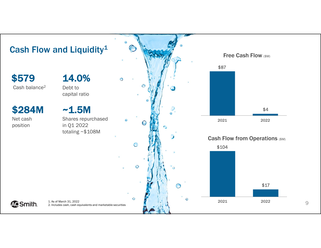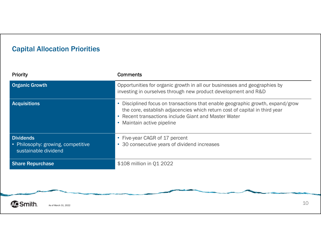# Capital Allocation Priorities

| Priority                                                                       | <b>Comments</b>                                                                                                                                                                                                                                    |
|--------------------------------------------------------------------------------|----------------------------------------------------------------------------------------------------------------------------------------------------------------------------------------------------------------------------------------------------|
| <b>Organic Growth</b>                                                          | Opportunities for organic growth in all our businesses and geographies by<br>investing in ourselves through new product development and R&D                                                                                                        |
| <b>Acquisitions</b>                                                            | • Disciplined focus on transactions that enable geographic growth, expand/grow<br>the core, establish adjacencies which return cost of capital in third year<br>• Recent transactions include Giant and Master Water<br>• Maintain active pipeline |
| <b>Dividends</b><br>• Philosophy: growing, competitive<br>sustainable dividend | • Five-year CAGR of 17 percent<br>• 30 consecutive years of dividend increases                                                                                                                                                                     |
| <b>Share Repurchase</b>                                                        | \$108 million in Q1 2022                                                                                                                                                                                                                           |
|                                                                                |                                                                                                                                                                                                                                                    |

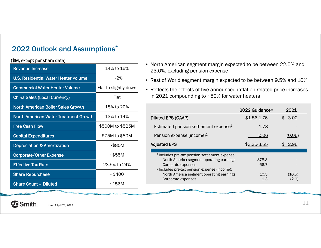### 2022 Outlook and Assumptions\*

#### (\$M, except per share data)

| <b>Revenue Increase</b>                      | 14% to 16%            |
|----------------------------------------------|-----------------------|
| <b>U.S. Residential Water Heater Volume</b>  | $\sim$ -2%            |
| <b>Commercial Water Heater Volume</b>        | Flat to slightly down |
| <b>China Sales (Local Currency)</b>          | Flat                  |
| <b>North American Boiler Sales Growth</b>    | 18% to 20%            |
| <b>North American Water Treatment Growth</b> | 13% to 14%            |
| <b>Free Cash Flow</b>                        | \$500M to \$525M      |
| <b>Capital Expenditures</b>                  | \$75M to \$80M        |
| <b>Depreciation &amp; Amortization</b>       | ~580M                 |
| <b>Corporate/Other Expense</b>               | ~555M                 |
| <b>Effective Tax Rate</b>                    | 23.5% to 24%          |
| <b>Share Repurchase</b>                      | ~5400                 |
| <b>Share Count - Diluted</b>                 | ~156M                 |

- North American segment margin expected to be between 22.5% and 23.0%, excluding pension expense
- Rest of World segment margin expected to be between 9.5% and 10%
- Reflects the effects of five announced inflation-related price increases in 2021 compounding to ~50% for water heaters

|                                                                                                                                                                                        | 2022 Guidance* | 2021            |
|----------------------------------------------------------------------------------------------------------------------------------------------------------------------------------------|----------------|-----------------|
| Diluted EPS (GAAP)                                                                                                                                                                     | \$1.56-1.76    | \$3.02          |
| Estimated pension settlement expense <sup>1</sup>                                                                                                                                      | 1.73           |                 |
| Pension expense (income) <sup>2</sup>                                                                                                                                                  | 0.06           | (0.06)          |
| <b>Adjusted EPS</b>                                                                                                                                                                    | \$3.35-3.55    | 2.96            |
|                                                                                                                                                                                        |                |                 |
| <sup>1</sup> Includes pre-tax pension settlement expense:<br>North America segment operating earnings<br>Corporate expenses<br><sup>2</sup> Includes pre-tax pension expense (income): | 378.3<br>66.7  |                 |
| North America segment operating earnings<br>Corporate expenses                                                                                                                         | 10.5<br>1.3    | (10.5)<br>(2.6) |
|                                                                                                                                                                                        |                |                 |

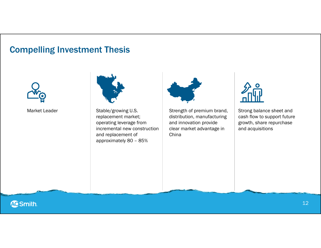# Compelling Investment Thesis





Stable/growing U.S. replacement market; operating leverage from incremental new construction and replacement of approximately 80 – 85%



Market Leader **Stable**/growing U.S. Strength of premium brand, distribution, manufacturing and innovation provide clear market advantage in China



Strong balance sheet and cash flow to support future growth, share repurchase and acquisitions



12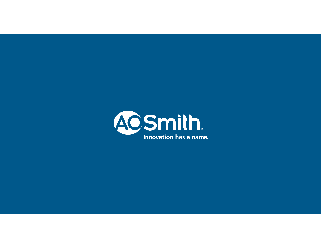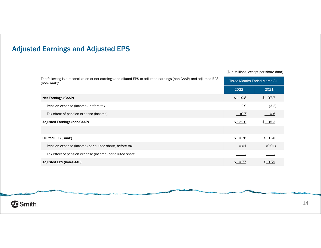

| The following is a reconciliation of net earnings and diluted EPS to adjusted earnings (non-GAAP) and adjusted EPS<br>(non-GAAP): |         | Three Months Ended March 31, |  |
|-----------------------------------------------------------------------------------------------------------------------------------|---------|------------------------------|--|
|                                                                                                                                   | 2022    | 2021                         |  |
| Net Earnings (GAAP)                                                                                                               | \$119.8 | \$97.7                       |  |
| Pension expense (income), before tax                                                                                              | 2.9     | (3.2)                        |  |
| Tax effect of pension expense (income)                                                                                            | (0.7)   | 0.8                          |  |
| <b>Adjusted Earnings (non-GAAP)</b>                                                                                               | \$122.0 | \$ 95.3                      |  |
|                                                                                                                                   |         |                              |  |
| Diluted EPS (GAAP)                                                                                                                | \$0.76  | \$0.60                       |  |
| Pension expense (income) per diluted share, before tax                                                                            | 0.01    | (0.01)                       |  |
| Tax effect of pension expense (income) per diluted share                                                                          |         |                              |  |
| Adjusted EPS (non-GAAP)                                                                                                           | \$0.77  | \$0.59                       |  |

(\$ in Millions, except per share data)

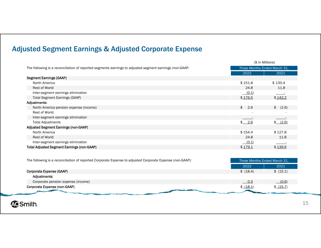### Adjusted Segment Earnings & Adjusted Corporate Expense

|                                                                                                         |                              | (\$ in Millions) |
|---------------------------------------------------------------------------------------------------------|------------------------------|------------------|
| The following is a reconciliation of reported segments earnings to adjusted segment earnings (non-GAAP: | Three Months Ended March 31, |                  |
|                                                                                                         | 2022                         | 2021             |
| <b>Segment Earnings (GAAP)</b>                                                                          |                              |                  |
| North America                                                                                           | \$151.8                      | \$130.4          |
| Rest of World                                                                                           | 24.8                         | 11.8             |
| Inter-segment earnings elimination                                                                      | (0.1)                        |                  |
| <b>Total Segment Earnings (GAAP)</b>                                                                    | \$176.5                      | \$142.2          |
| Adjustments:                                                                                            |                              |                  |
| North America pension expense (income)                                                                  | \$<br>2.6                    | \$ (2.6)         |
| Rest of World                                                                                           | $\overline{\phantom{a}}$     |                  |
| Inter-segment earnings elimination                                                                      |                              |                  |
| <b>Total Adjustments</b>                                                                                | \$ 2.6                       | $$-(2.6)$        |
| <b>Adjusted Segment Earnings (non-GAAP)</b>                                                             |                              |                  |
| North America                                                                                           | \$154.4                      | \$127.8          |
| Rest of World                                                                                           | 24.8                         | 11.8             |
| Inter-segment earnings elimination                                                                      | (0.1)                        |                  |
| <b>Total Adjusted Segment Earnings (non-GAAP)</b>                                                       | \$179.1                      | \$139.6          |

| The following is a reconciliation of reported Corporate Expense to adjusted Corporate Expense (non-GAAP): |                              | Three Months Ended March 31. |  |
|-----------------------------------------------------------------------------------------------------------|------------------------------|------------------------------|--|
|                                                                                                           | 2022                         | 2021                         |  |
| Corporate Expense (GAAP)                                                                                  | \$ (18.4)                    | \$ (15.1)                    |  |
| Adiustments:                                                                                              |                              |                              |  |
| Corporate pension expense (income)                                                                        | $\overline{\phantom{0}}$ 0.3 | (0.6)                        |  |
| Corporate Expense (non-GAAP)                                                                              | \$(18.1)                     | $$-(15.7)$                   |  |
| <b>Changed</b>                                                                                            |                              |                              |  |

**ACSmith.**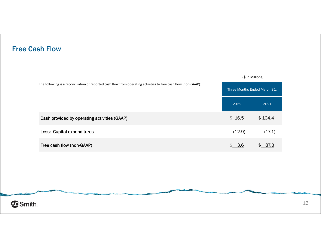### Free Cash Flow

| The following is a reconciliation of reported cash flow from operating activities to free cash flow (non-GAAP): | Three Months Ended March 31. |         |
|-----------------------------------------------------------------------------------------------------------------|------------------------------|---------|
|                                                                                                                 | 2022                         | 2021    |
| Cash provided by operating activities (GAAP)                                                                    | \$16.5                       | \$104.4 |
| Less: Capital expenditures                                                                                      | (12.9)                       | (17.1)  |
| Free cash flow (non-GAAP)                                                                                       | \$3.6                        | \$ 87.3 |

(\$ in Millions)